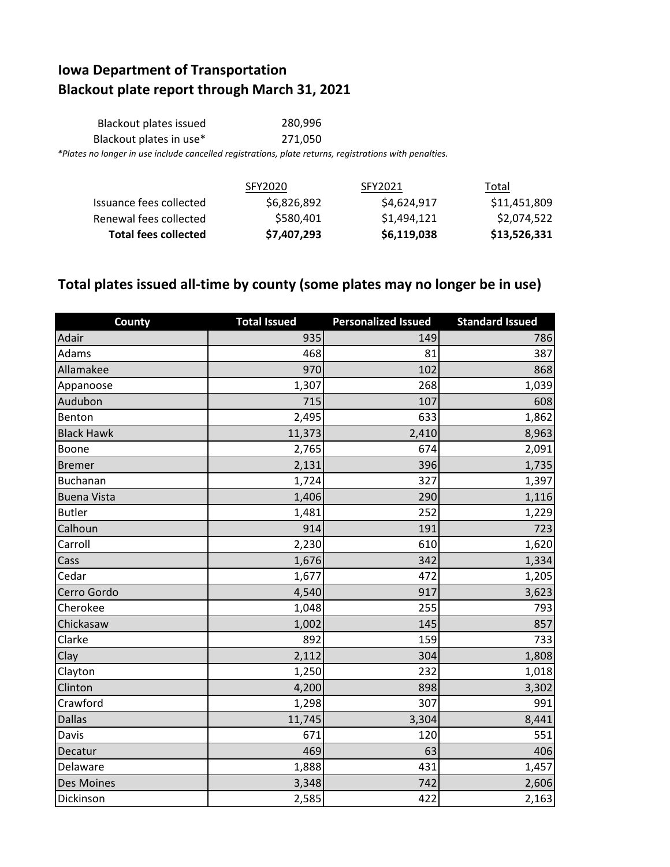## **Iowa Department of Transportation Blackout plate report through March 31, 2021**

Blackout plates issued 280,996 Blackout plates in use\* 271,050 *\*Plates no longer in use include cancelled registrations, plate returns, registrations with penalties.*

|                             | SFY2020     | SFY2021     | Total        |
|-----------------------------|-------------|-------------|--------------|
| Issuance fees collected     | \$6,826,892 | \$4,624,917 | \$11,451,809 |
| Renewal fees collected      | \$580.401   | \$1,494,121 | \$2,074,522  |
| <b>Total fees collected</b> | \$7,407,293 | \$6,119,038 | \$13,526,331 |

## **Total plates issued all-time by county (some plates may no longer be in use)**

| County             | <b>Total Issued</b> | <b>Personalized Issued</b> | <b>Standard Issued</b> |
|--------------------|---------------------|----------------------------|------------------------|
| Adair              | 935                 | 149                        | 786                    |
| Adams              | 468                 | 81                         | 387                    |
| Allamakee          | 970                 | 102                        | 868                    |
| Appanoose          | 1,307               | 268                        | 1,039                  |
| Audubon            | 715                 | 107                        | 608                    |
| Benton             | 2,495               | 633                        | 1,862                  |
| <b>Black Hawk</b>  | 11,373              | 2,410                      | 8,963                  |
| Boone              | 2,765               | 674                        | 2,091                  |
| <b>Bremer</b>      | 2,131               | 396                        | 1,735                  |
| Buchanan           | 1,724               | 327                        | 1,397                  |
| <b>Buena Vista</b> | 1,406               | 290                        | 1,116                  |
| <b>Butler</b>      | 1,481               | 252                        | 1,229                  |
| Calhoun            | 914                 | 191                        | 723                    |
| Carroll            | 2,230               | 610                        | 1,620                  |
| Cass               | 1,676               | 342                        | 1,334                  |
| Cedar              | 1,677               | 472                        | 1,205                  |
| Cerro Gordo        | 4,540               | 917                        | 3,623                  |
| Cherokee           | 1,048               | 255                        | 793                    |
| Chickasaw          | 1,002               | 145                        | 857                    |
| Clarke             | 892                 | 159                        | 733                    |
| Clay               | 2,112               | 304                        | 1,808                  |
| Clayton            | 1,250               | 232                        | 1,018                  |
| Clinton            | 4,200               | 898                        | 3,302                  |
| Crawford           | 1,298               | 307                        | 991                    |
| <b>Dallas</b>      | 11,745              | 3,304                      | 8,441                  |
| Davis              | 671                 | 120                        | 551                    |
| Decatur            | 469                 | 63                         | 406                    |
| Delaware           | 1,888               | 431                        | 1,457                  |
| Des Moines         | 3,348               | 742                        | 2,606                  |
| Dickinson          | 2,585               | 422                        | 2,163                  |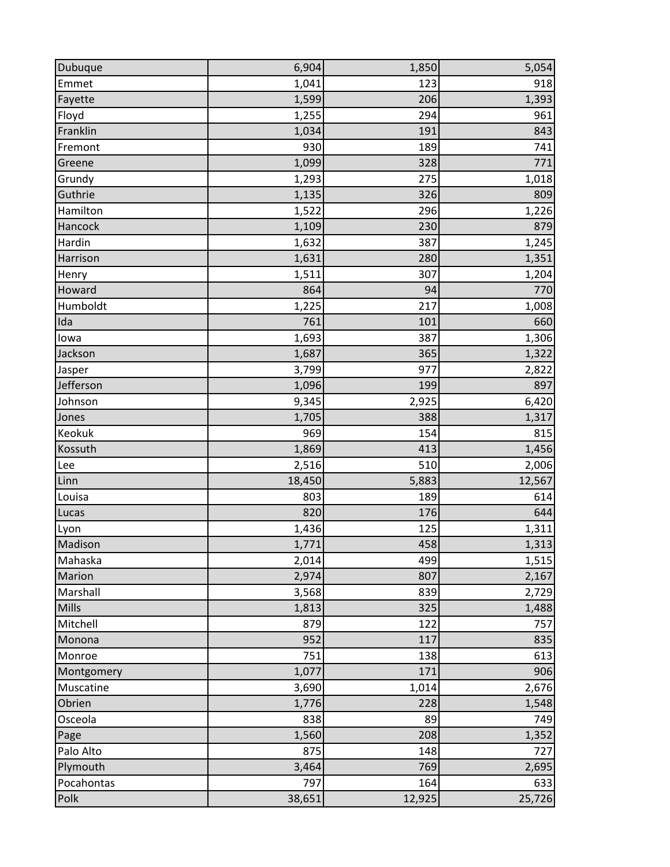| Dubuque    | 6,904  | 1,850  | 5,054  |
|------------|--------|--------|--------|
| Emmet      | 1,041  | 123    | 918    |
| Fayette    | 1,599  | 206    | 1,393  |
| Floyd      | 1,255  | 294    | 961    |
| Franklin   | 1,034  | 191    | 843    |
| Fremont    | 930    | 189    | 741    |
| Greene     | 1,099  | 328    | 771    |
| Grundy     | 1,293  | 275    | 1,018  |
| Guthrie    | 1,135  | 326    | 809    |
| Hamilton   | 1,522  | 296    | 1,226  |
| Hancock    | 1,109  | 230    | 879    |
| Hardin     | 1,632  | 387    | 1,245  |
| Harrison   | 1,631  | 280    | 1,351  |
| Henry      | 1,511  | 307    | 1,204  |
| Howard     | 864    | 94     | 770    |
| Humboldt   | 1,225  | 217    | 1,008  |
| Ida        | 761    | 101    | 660    |
| lowa       | 1,693  | 387    | 1,306  |
| Jackson    | 1,687  | 365    | 1,322  |
| Jasper     | 3,799  | 977    | 2,822  |
| Jefferson  | 1,096  | 199    | 897    |
| Johnson    | 9,345  | 2,925  | 6,420  |
| Jones      | 1,705  | 388    | 1,317  |
| Keokuk     | 969    | 154    | 815    |
| Kossuth    | 1,869  | 413    | 1,456  |
| Lee        | 2,516  | 510    | 2,006  |
| Linn       | 18,450 | 5,883  | 12,567 |
| Louisa     | 803    | 189    | 614    |
| Lucas      | 820    | 176    | 644    |
| Lyon       | 1,436  | 125    | 1,311  |
| Madison    | 1,771  | 458    | 1,313  |
| Mahaska    | 2,014  | 499    | 1,515  |
| Marion     | 2,974  | 807    | 2,167  |
| Marshall   | 3,568  | 839    | 2,729  |
| Mills      | 1,813  | 325    | 1,488  |
| Mitchell   | 879    | 122    | 757    |
| Monona     | 952    | 117    | 835    |
| Monroe     | 751    | 138    | 613    |
| Montgomery | 1,077  | 171    | 906    |
| Muscatine  | 3,690  | 1,014  | 2,676  |
| Obrien     | 1,776  | 228    | 1,548  |
| Osceola    | 838    | 89     | 749    |
| Page       | 1,560  | 208    | 1,352  |
| Palo Alto  | 875    | 148    | 727    |
| Plymouth   | 3,464  | 769    | 2,695  |
| Pocahontas | 797    | 164    | 633    |
| Polk       | 38,651 | 12,925 | 25,726 |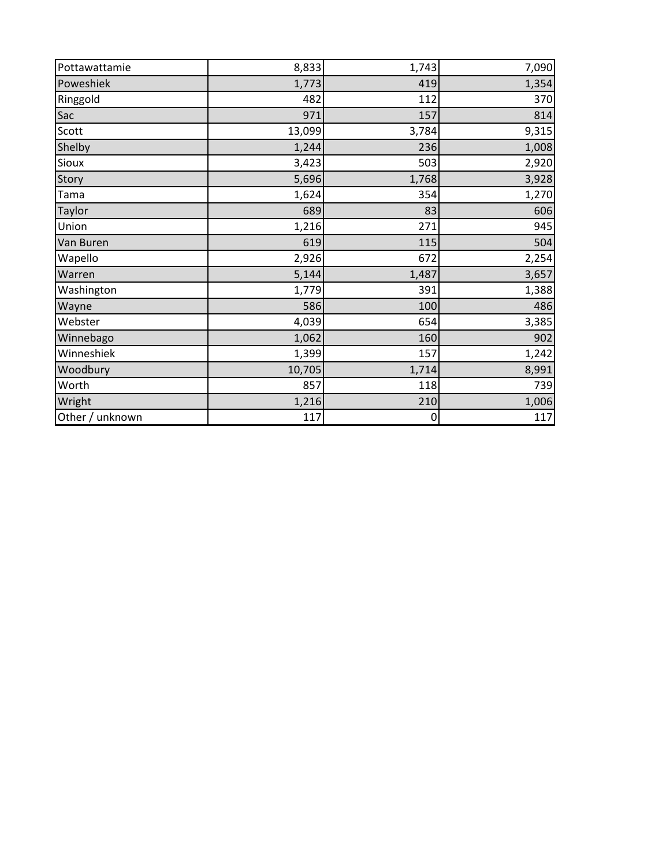| Pottawattamie   | 8,833  | 1,743 | 7,090 |
|-----------------|--------|-------|-------|
| Poweshiek       | 1,773  | 419   | 1,354 |
| Ringgold        | 482    | 112   | 370   |
| Sac             | 971    | 157   | 814   |
| Scott           | 13,099 | 3,784 | 9,315 |
| Shelby          | 1,244  | 236   | 1,008 |
| Sioux           | 3,423  | 503   | 2,920 |
| Story           | 5,696  | 1,768 | 3,928 |
| Tama            | 1,624  | 354   | 1,270 |
| <b>Taylor</b>   | 689    | 83    | 606   |
| Union           | 1,216  | 271   | 945   |
| Van Buren       | 619    | 115   | 504   |
| Wapello         | 2,926  | 672   | 2,254 |
| Warren          | 5,144  | 1,487 | 3,657 |
| Washington      | 1,779  | 391   | 1,388 |
| Wayne           | 586    | 100   | 486   |
| Webster         | 4,039  | 654   | 3,385 |
| Winnebago       | 1,062  | 160   | 902   |
| Winneshiek      | 1,399  | 157   | 1,242 |
| Woodbury        | 10,705 | 1,714 | 8,991 |
| Worth           | 857    | 118   | 739   |
| Wright          | 1,216  | 210   | 1,006 |
| Other / unknown | 117    | 0     | 117   |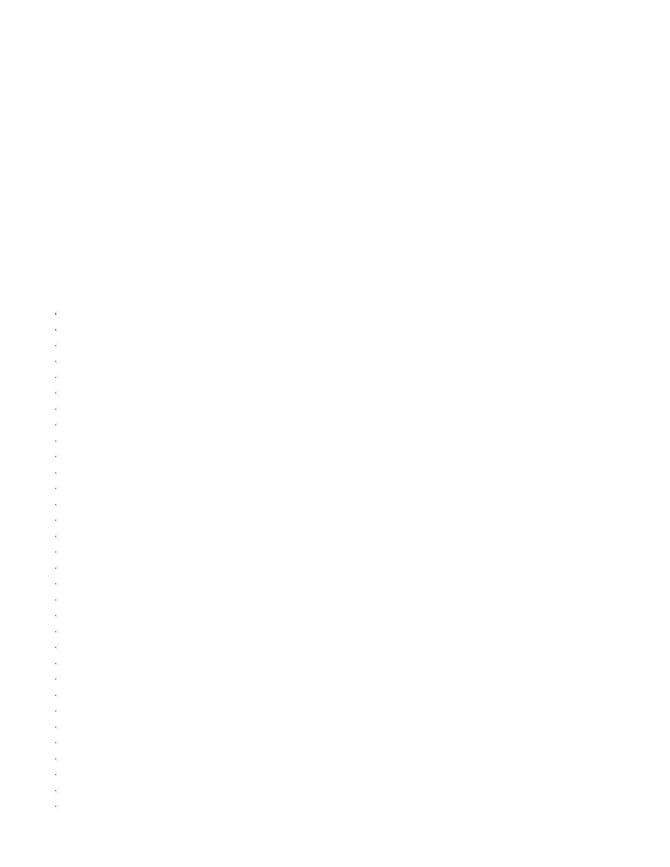- 
- 
- 
- 
- 
- 
- 
- 
- 
- 
- 
- 
- -
	-
	-
- 
- 
- -
- 
- 
- 
- 
- -
- - -
- -
	- -
		-
		-
- 
- 
- 
- 
- -
- 
- 
- -
	-
- - -
- 
- 
- 
- 
- 
- -
- -
- 
- -
	- -
		- - -
		-
- -
- 
- 
-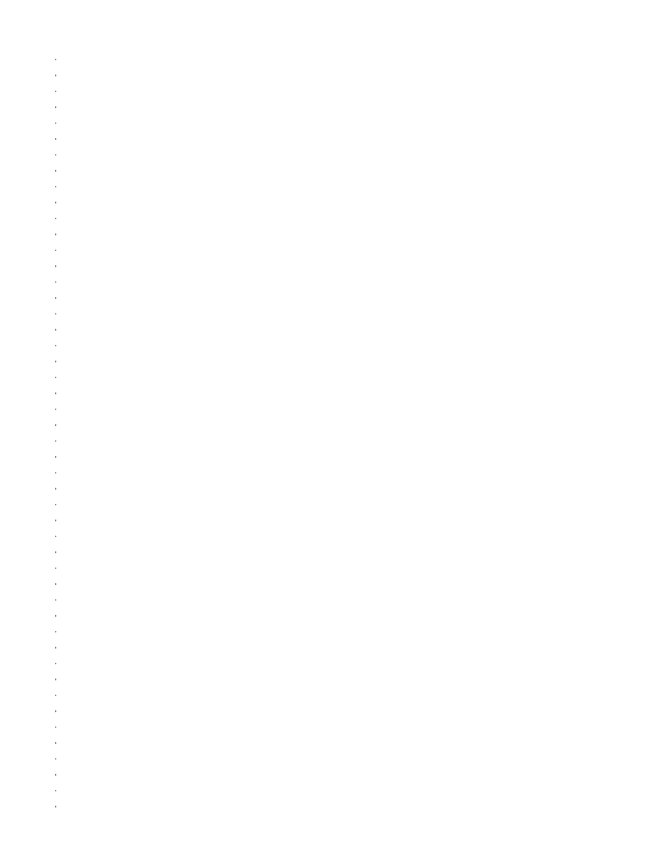- 
- 
- 
- 
- 
- 
- 
- 
- 
- 
- 
- 
- 
- 
- 
- 
- 
- 
- 
- 
- 
- 
- 
- 
- 
- 
- 
- 
- 
- 
- 
- 
- 
- 
- 
- 
- 
- 
- 
- 
- 
- 
- - -